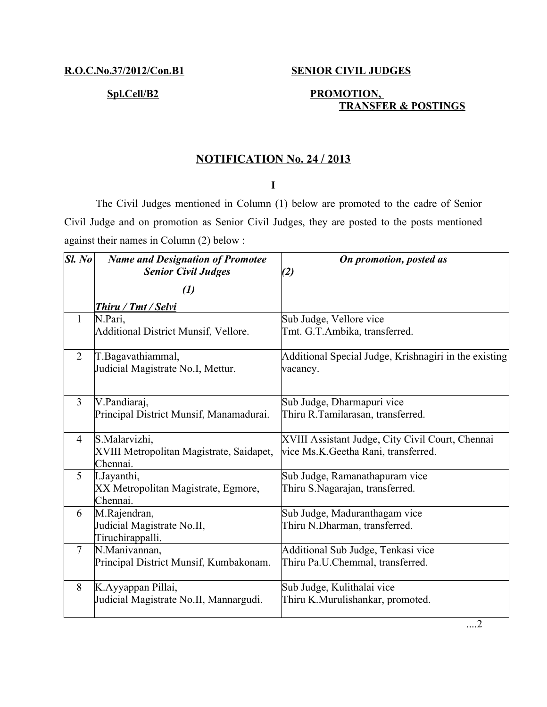## **R.O.C.No.37/2012/Con.B1 SENIOR CIVIL JUDGES**

# Spl.Cell/B2 PROMOTION,  **TRANSFER & POSTINGS**

## **N OTIFICATION No. 24 / 2013**

### **I**

The Civil Judges mentioned in Column (1) below are promoted to the cadre of Senior Civil Judge and on promotion as Senior Civil Judges, they are posted to the posts mentioned against their names in Column (2) below :

| SI. No         | <b>Name and Designation of Promotee</b><br><b>Senior Civil Judges</b> | On promotion, posted as<br>(2)                                                           |
|----------------|-----------------------------------------------------------------------|------------------------------------------------------------------------------------------|
|                | $\left( l\right)$                                                     |                                                                                          |
|                | <b>Thiru / Tmt / Selvi</b>                                            |                                                                                          |
| $\mathbf{1}$   | N.Pari,<br>Additional District Munsif, Vellore.                       | Sub Judge, Vellore vice<br>Tmt. G.T.Ambika, transferred.                                 |
| $\overline{2}$ | T.Bagavathiammal,<br>Judicial Magistrate No.I, Mettur.                | Additional Special Judge, Krishnagiri in the existing<br>vacancy.                        |
| $\overline{3}$ | V.Pandiaraj,<br>Principal District Munsif, Manamadurai.               | Sub Judge, Dharmapuri vice<br>Thiru R.Tamilarasan, transferred.                          |
| $\overline{4}$ | S.Malarvizhi,<br>XVIII Metropolitan Magistrate, Saidapet,<br>Chennai. | XVIII Assistant Judge, City Civil Court, Chennai<br>vice Ms.K. Geetha Rani, transferred. |
| 5              | L.Jayanthi,<br>XX Metropolitan Magistrate, Egmore,<br>Chennai.        | Sub Judge, Ramanathapuram vice<br>Thiru S.Nagarajan, transferred.                        |
| 6              | M.Rajendran,<br>Judicial Magistrate No.II,<br>Tiruchirappalli.        | Sub Judge, Maduranthagam vice<br>Thiru N.Dharman, transferred.                           |
| $\tau$         | N.Manivannan,<br>Principal District Munsif, Kumbakonam.               | Additional Sub Judge, Tenkasi vice<br>Thiru Pa.U.Chemmal, transferred.                   |
| 8              | K.Ayyappan Pillai,<br>Judicial Magistrate No.II, Mannargudi.          | Sub Judge, Kulithalai vice<br>Thiru K.Murulishankar, promoted.                           |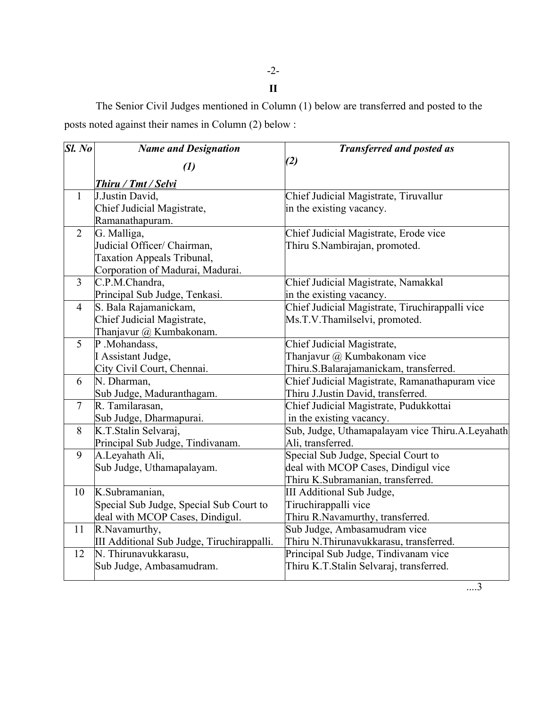-2-

**II**

The Senior Civil Judges mentioned in Column (1) below are transferred and posted to the posts noted against their names in Column (2) below :

| $SL$ No        | <b>Name and Designation</b>                | <b>Transferred and posted as</b>                          |
|----------------|--------------------------------------------|-----------------------------------------------------------|
|                | $\left(1\right)$                           | (2)                                                       |
|                |                                            |                                                           |
|                | Thiru / Tmt / Selvi                        |                                                           |
| $\mathbf{1}$   | J.Justin David,                            | Chief Judicial Magistrate, Tiruvallur                     |
|                | Chief Judicial Magistrate,                 | in the existing vacancy.                                  |
| $\overline{2}$ | Ramanathapuram.                            |                                                           |
|                | G. Malliga,                                | Chief Judicial Magistrate, Erode vice                     |
|                | Judicial Officer/ Chairman,                | Thiru S.Nambirajan, promoted.                             |
|                | <b>Taxation Appeals Tribunal,</b>          |                                                           |
| $\overline{3}$ | Corporation of Madurai, Madurai.           |                                                           |
|                | C.P.M.Chandra,                             | Chief Judicial Magistrate, Namakkal                       |
| $\overline{4}$ | Principal Sub Judge, Tenkasi.              | in the existing vacancy.                                  |
|                | S. Bala Rajamanickam,                      | Chief Judicial Magistrate, Tiruchirappalli vice           |
|                | Chief Judicial Magistrate,                 | Ms.T.V.Thamilselvi, promoted.                             |
| 5              | Thanjavur @ Kumbakonam.<br>P.Mohandass,    |                                                           |
|                | I Assistant Judge,                         | Chief Judicial Magistrate,<br>Thanjavur @ Kumbakonam vice |
|                |                                            | Thiru.S.Balarajamanickam, transferred.                    |
| 6              | City Civil Court, Chennai.<br>N. Dharman,  | Chief Judicial Magistrate, Ramanathapuram vice            |
|                | Sub Judge, Maduranthagam.                  | Thiru J.Justin David, transferred.                        |
| $\tau$         | R. Tamilarasan,                            | Chief Judicial Magistrate, Pudukkottai                    |
|                | Sub Judge, Dharmapurai.                    | in the existing vacancy.                                  |
| 8              | K.T.Stalin Selvaraj,                       | Sub, Judge, Uthamapalayam vice Thiru.A.Leyahath           |
|                | Principal Sub Judge, Tindivanam.           | Ali, transferred.                                         |
| 9              | A.Leyahath Ali,                            | Special Sub Judge, Special Court to                       |
|                | Sub Judge, Uthamapalayam.                  | deal with MCOP Cases, Dindigul vice                       |
|                |                                            | Thiru K.Subramanian, transferred.                         |
| 10             | K.Subramanian,                             | III Additional Sub Judge,                                 |
|                | Special Sub Judge, Special Sub Court to    | Tiruchirappalli vice                                      |
|                | deal with MCOP Cases, Dindigul.            | Thiru R.Navamurthy, transferred.                          |
| 11             | R. Navamurthy,                             | Sub Judge, Ambasamudram vice                              |
|                | III Additional Sub Judge, Tiruchirappalli. | Thiru N.Thirunavukkarasu, transferred.                    |
| 12             | $\overline{\text{N}}$ . Thirunavukkarasu,  | Principal Sub Judge, Tindivanam vice                      |
|                | Sub Judge, Ambasamudram.                   | Thiru K.T.Stalin Selvaraj, transferred.                   |
|                |                                            |                                                           |

....3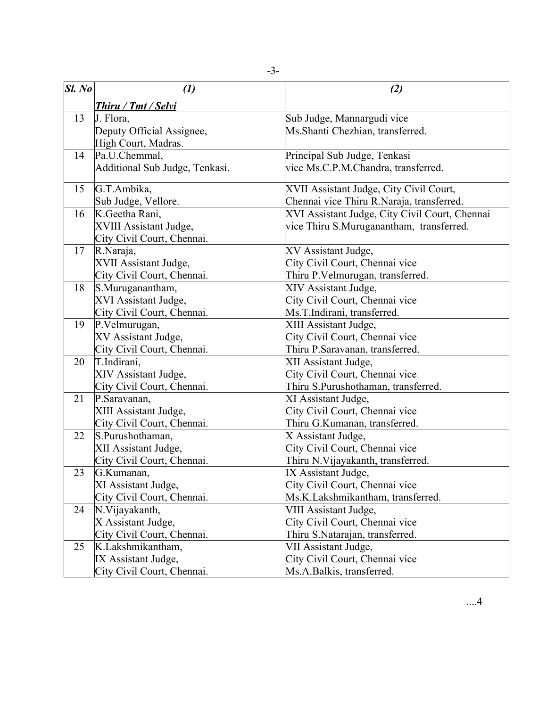| Sl. No | $\left( l\right)$              | (2)                                            |
|--------|--------------------------------|------------------------------------------------|
|        | <b>Thiru / Tmt / Selvi</b>     |                                                |
| 13     | J. Flora,                      | Sub Judge, Mannargudi vice                     |
|        | Deputy Official Assignee,      | Ms. Shanti Chezhian, transferred.              |
|        | High Court, Madras.            |                                                |
| 14     | Pa.U.Chemmal,                  | Principal Sub Judge, Tenkasi                   |
|        | Additional Sub Judge, Tenkasi. | vice Ms.C.P.M.Chandra, transferred.            |
| 15     | G.T.Ambika,                    | XVII Assistant Judge, City Civil Court,        |
|        | Sub Judge, Vellore.            | Chennai vice Thiru R.Naraja, transferred.      |
| 16     | K.Geetha Rani,                 | XVI Assistant Judge, City Civil Court, Chennai |
|        | XVIII Assistant Judge,         | vice Thiru S.Muruganantham, transferred.       |
|        | City Civil Court, Chennai.     |                                                |
| 17     | R.Naraja,                      | XV Assistant Judge,                            |
|        | XVII Assistant Judge,          | City Civil Court, Chennai vice                 |
|        | City Civil Court, Chennai.     | Thiru P.Velmurugan, transferred.               |
| 18     | S.Muruganantham,               | XIV Assistant Judge,                           |
|        | XVI Assistant Judge,           | City Civil Court, Chennai vice                 |
|        | City Civil Court, Chennai.     | Ms.T.Indirani, transferred.                    |
| 19     | P.Velmurugan,                  | XIII Assistant Judge,                          |
|        | XV Assistant Judge,            | City Civil Court, Chennai vice                 |
|        | City Civil Court, Chennai.     | Thiru P.Saravanan, transferred.                |
| 20     | T.Indirani,                    | XII Assistant Judge,                           |
|        | XIV Assistant Judge,           | City Civil Court, Chennai vice                 |
|        | City Civil Court, Chennai.     | Thiru S.Purushothaman, transferred.            |
| 21     | P.Saravanan,                   | XI Assistant Judge,                            |
|        | XIII Assistant Judge,          | City Civil Court, Chennai vice                 |
|        | City Civil Court, Chennai.     | Thiru G.Kumanan, transferred.                  |
| 22     | S.Purushothaman,               | X Assistant Judge,                             |
|        | XII Assistant Judge,           | City Civil Court, Chennai vice                 |
|        | City Civil Court, Chennai.     | Thiru N. Vijayakanth, transferred.             |
| 23     | G.Kumanan,                     | IX Assistant Judge,                            |
|        | XI Assistant Judge,            | City Civil Court, Chennai vice                 |
|        | City Civil Court, Chennai.     | Ms.K.Lakshmikantham, transferred.              |
| 24     | N. Vijayakanth,                | VIII Assistant Judge,                          |
|        | X Assistant Judge,             | City Civil Court, Chennai vice                 |
|        | City Civil Court, Chennai.     | Thiru S.Natarajan, transferred.                |
| 25     | K.Lakshmikantham,              | VII Assistant Judge,                           |
|        | IX Assistant Judge,            | City Civil Court, Chennai vice                 |
|        | City Civil Court, Chennai.     | Ms.A.Balkis, transferred.                      |